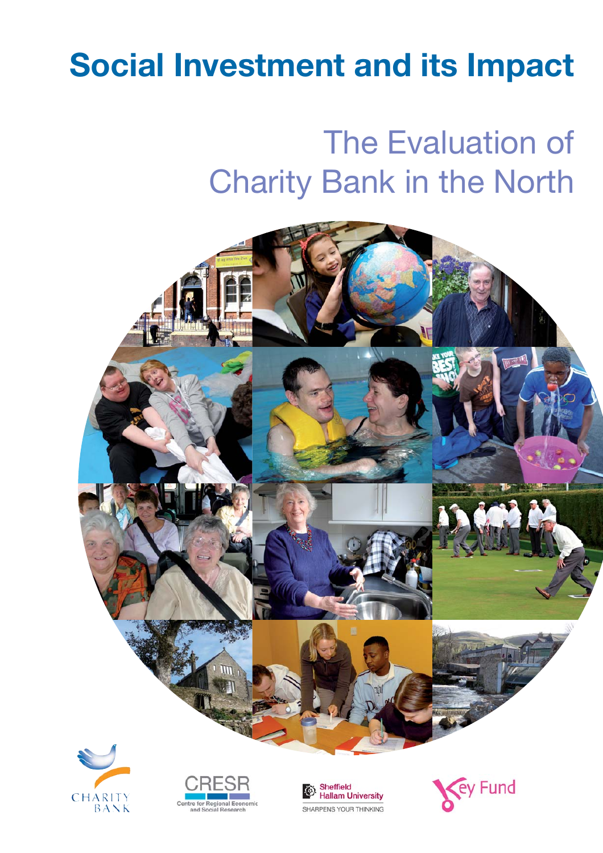# **Social Investment and its Impact**

# The Evaluation of Charity Bank in the North







Sheffield<br>Hallam University SHARPENS YOUR THINKING

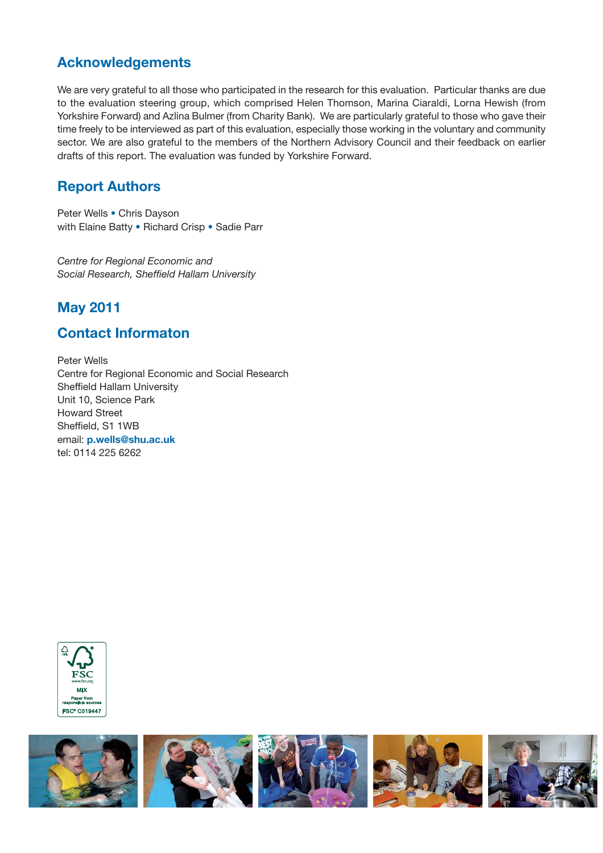# **Acknowledgements**

We are very grateful to all those who participated in the research for this evaluation. Particular thanks are due to the evaluation steering group, which comprised Helen Thomson, Marina Ciaraldi, Lorna Hewish (from Yorkshire Forward) and Azlina Bulmer (from Charity Bank). We are particularly grateful to those who gave their time freely to be interviewed as part of this evaluation, especially those working in the voluntary and community sector. We are also grateful to the members of the Northern Advisory Council and their feedback on earlier drafts of this report. The evaluation was funded by Yorkshire Forward.

#### **Report Authors**

Peter Wells • Chris Dayson with Elaine Batty • Richard Crisp • Sadie Parr

*Centre for Regional Economic and Social Research, Sheffield Hallam University*

# **May 2011**

#### **Contact Informaton**

Peter Wells Centre for Regional Economic and Social Research Sheffield Hallam University Unit 10, Science Park Howard Street Sheffield, S1 1WB email: **p.wells@shu.ac.uk** tel: 0114 225 6262



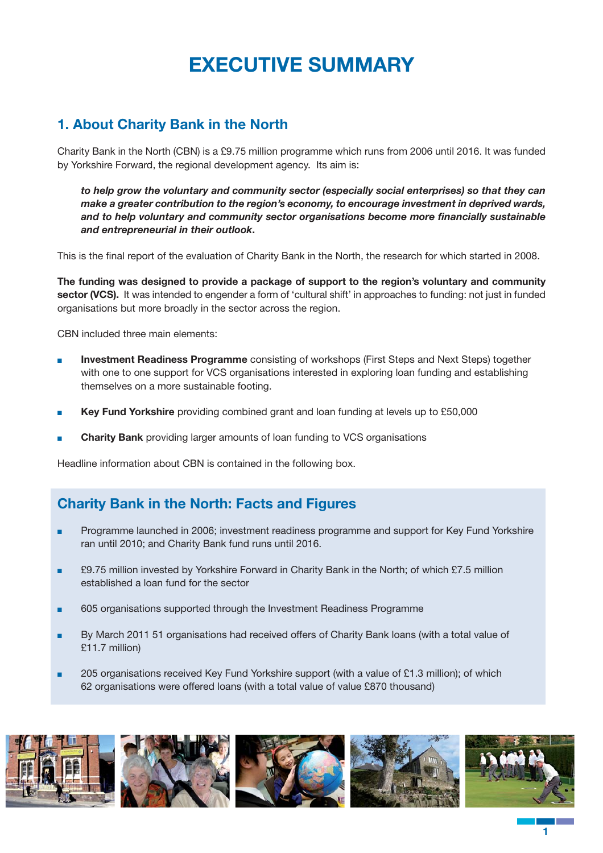# **EXECUTIVE SUMMARY**

# **1. About Charity Bank in the North**

Charity Bank in the North (CBN) is a £9.75 million programme which runs from 2006 until 2016. It was funded by Yorkshire Forward, the regional development agency. Its aim is:

*to help grow the voluntary and community sector (especially social enterprises) so that they can make a greater contribution to the region's economy, to encourage investment in deprived wards, and to help voluntary and community sector organisations become more financially sustainable and entrepreneurial in their outlook***.**

This is the final report of the evaluation of Charity Bank in the North, the research for which started in 2008.

**The funding was designed to provide a package of support to the region's voluntary and community sector (VCS).** It was intended to engender a form of 'cultural shift' in approaches to funding: not just in funded organisations but more broadly in the sector across the region.

CBN included three main elements:

- **Investment Readiness Programme** consisting of workshops (First Steps and Next Steps) together with one to one support for VCS organisations interested in exploring loan funding and establishing themselves on a more sustainable footing.
- **Key Fund Yorkshire** providing combined grant and loan funding at levels up to £50,000
- **Charity Bank** providing larger amounts of loan funding to VCS organisations

Headline information about CBN is contained in the following box.

#### **Charity Bank in the North: Facts and Figures**

- Programme launched in 2006; investment readiness programme and support for Key Fund Yorkshire ran until 2010; and Charity Bank fund runs until 2016.
- £9.75 million invested by Yorkshire Forward in Charity Bank in the North; of which £7.5 million established a loan fund for the sector
- 605 organisations supported through the Investment Readiness Programme
- By March 2011 51 organisations had received offers of Charity Bank loans (with a total value of £11.7 million)
- 205 organisations received Key Fund Yorkshire support (with a value of £1.3 million); of which 62 organisations were offered loans (with a total value of value £870 thousand)

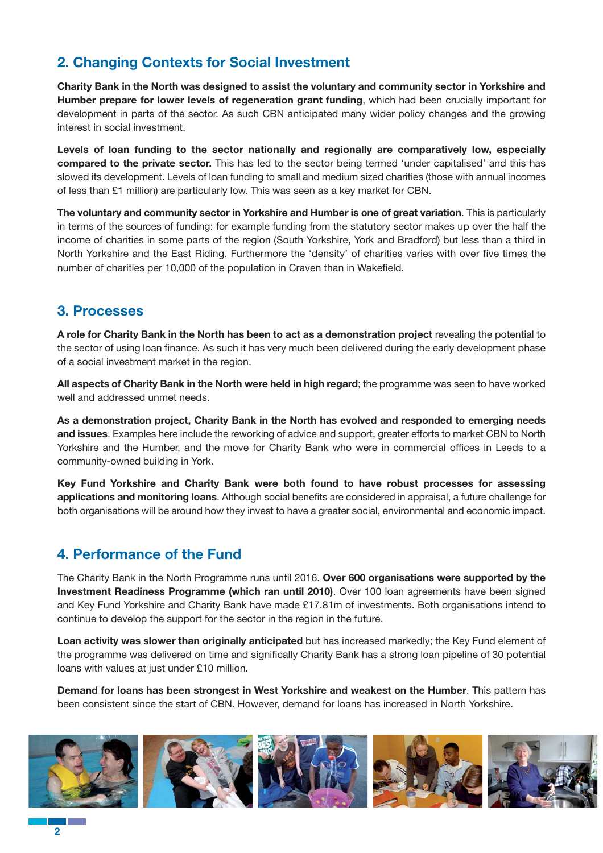#### **2. Changing Contexts for Social Investment**

**Charity Bank in the North was designed to assist the voluntary and community sector in Yorkshire and Humber prepare for lower levels of regeneration grant funding**, which had been crucially important for development in parts of the sector. As such CBN anticipated many wider policy changes and the growing interest in social investment.

**Levels of loan funding to the sector nationally and regionally are comparatively low, especially compared to the private sector.** This has led to the sector being termed 'under capitalised' and this has slowed its development. Levels of loan funding to small and medium sized charities (those with annual incomes of less than £1 million) are particularly low. This was seen as a key market for CBN.

**The voluntary and community sector in Yorkshire and Humber is one of great variation**. This is particularly in terms of the sources of funding: for example funding from the statutory sector makes up over the half the income of charities in some parts of the region (South Yorkshire, York and Bradford) but less than a third in North Yorkshire and the East Riding. Furthermore the 'density' of charities varies with over five times the number of charities per 10,000 of the population in Craven than in Wakefield.

#### **3. Processes**

**A role for Charity Bank in the North has been to act as a demonstration project** revealing the potential to the sector of using loan finance. As such it has very much been delivered during the early development phase of a social investment market in the region.

**All aspects of Charity Bank in the North were held in high regard**; the programme was seen to have worked well and addressed unmet needs.

**As a demonstration project, Charity Bank in the North has evolved and responded to emerging needs and issues**. Examples here include the reworking of advice and support, greater efforts to market CBN to North Yorkshire and the Humber, and the move for Charity Bank who were in commercial offices in Leeds to a community-owned building in York.

**Key Fund Yorkshire and Charity Bank were both found to have robust processes for assessing applications and monitoring loans**. Although social benefits are considered in appraisal, a future challenge for both organisations will be around how they invest to have a greater social, environmental and economic impact.

#### **4. Performance of the Fund**

The Charity Bank in the North Programme runs until 2016. **Over 600 organisations were supported by the Investment Readiness Programme (which ran until 2010)**. Over 100 loan agreements have been signed and Key Fund Yorkshire and Charity Bank have made £17.81m of investments. Both organisations intend to continue to develop the support for the sector in the region in the future.

**Loan activity was slower than originally anticipated** but has increased markedly; the Key Fund element of the programme was delivered on time and significally Charity Bank has a strong loan pipeline of 30 potential loans with values at just under £10 million.

**Demand for loans has been strongest in West Yorkshire and weakest on the Humber**. This pattern has been consistent since the start of CBN. However, demand for loans has increased in North Yorkshire.

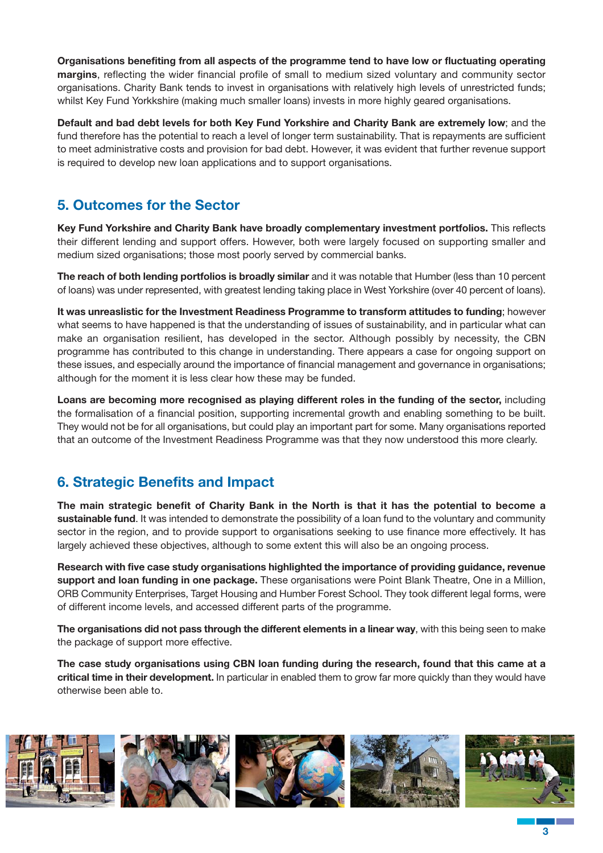**Organisations benefiting from all aspects of the programme tend to have low or fluctuating operating margins**, reflecting the wider financial profile of small to medium sized voluntary and community sector organisations. Charity Bank tends to invest in organisations with relatively high levels of unrestricted funds; whilst Key Fund Yorkkshire (making much smaller loans) invests in more highly geared organisations.

**Default and bad debt levels for both Key Fund Yorkshire and Charity Bank are extremely low**; and the fund therefore has the potential to reach a level of longer term sustainability. That is repayments are sufficient to meet administrative costs and provision for bad debt. However, it was evident that further revenue support is required to develop new loan applications and to support organisations.

# **5. Outcomes for the Sector**

**Key Fund Yorkshire and Charity Bank have broadly complementary investment portfolios.** This reflects their different lending and support offers. However, both were largely focused on supporting smaller and medium sized organisations; those most poorly served by commercial banks.

**The reach of both lending portfolios is broadly similar** and it was notable that Humber (less than 10 percent of loans) was under represented, with greatest lending taking place in West Yorkshire (over 40 percent of loans).

**It was unreaslistic for the Investment Readiness Programme to transform attitudes to funding**; however what seems to have happened is that the understanding of issues of sustainability, and in particular what can make an organisation resilient, has developed in the sector. Although possibly by necessity, the CBN programme has contributed to this change in understanding. There appears a case for ongoing support on these issues, and especially around the importance of financial management and governance in organisations; although for the moment it is less clear how these may be funded.

**Loans are becoming more recognised as playing different roles in the funding of the sector,** including the formalisation of a financial position, supporting incremental growth and enabling something to be built. They would not be for all organisations, but could play an important part for some. Many organisations reported that an outcome of the Investment Readiness Programme was that they now understood this more clearly.

# **6. Strategic Benefits and Impact**

**The main strategic benefit of Charity Bank in the North is that it has the potential to become a sustainable fund**. It was intended to demonstrate the possibility of a loan fund to the voluntary and community sector in the region, and to provide support to organisations seeking to use finance more effectively. It has largely achieved these objectives, although to some extent this will also be an ongoing process.

**Research with five case study organisations highlighted the importance of providing guidance, revenue support and loan funding in one package.** These organisations were Point Blank Theatre, One in a Million, ORB Community Enterprises, Target Housing and Humber Forest School. They took different legal forms, were of different income levels, and accessed different parts of the programme.

**The organisations did not pass through the different elements in a linear way**, with this being seen to make the package of support more effective.

**The case study organisations using CBN loan funding during the research, found that this came at a critical time in their development.** In particular in enabled them to grow far more quickly than they would have otherwise been able to.

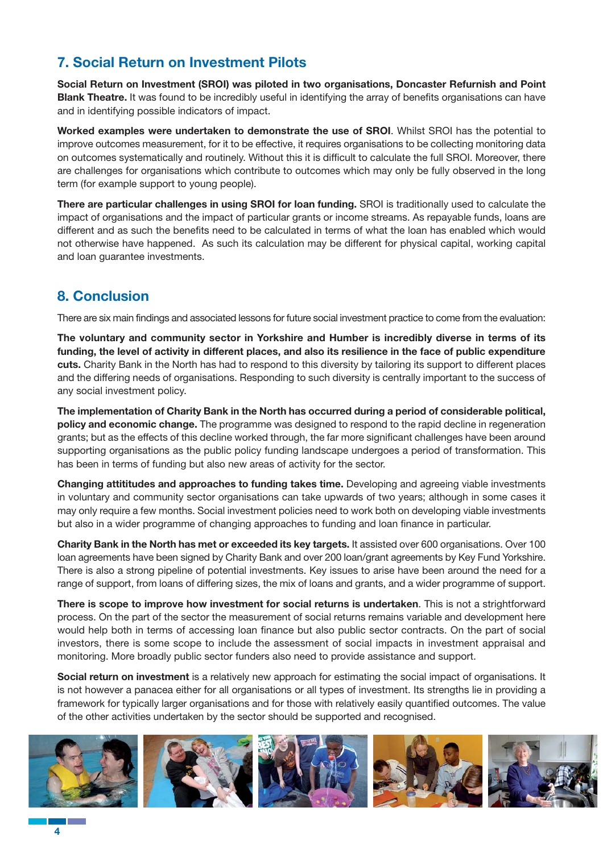# **7. Social Return on Investment Pilots**

**Social Return on Investment (SROI) was piloted in two organisations, Doncaster Refurnish and Point Blank Theatre.** It was found to be incredibly useful in identifying the array of benefits organisations can have and in identifying possible indicators of impact.

**Worked examples were undertaken to demonstrate the use of SROI**. Whilst SROI has the potential to improve outcomes measurement, for it to be effective, it requires organisations to be collecting monitoring data on outcomes systematically and routinely. Without this it is difficult to calculate the full SROI. Moreover, there are challenges for organisations which contribute to outcomes which may only be fully observed in the long term (for example support to young people).

**There are particular challenges in using SROI for loan funding.** SROI is traditionally used to calculate the impact of organisations and the impact of particular grants or income streams. As repayable funds, loans are different and as such the benefits need to be calculated in terms of what the loan has enabled which would not otherwise have happened. As such its calculation may be different for physical capital, working capital and loan guarantee investments.

# **8. Conclusion**

There are six main findings and associated lessons for future social investment practice to come from the evaluation:

**The voluntary and community sector in Yorkshire and Humber is incredibly diverse in terms of its funding, the level of activity in different places, and also its resilience in the face of public expenditure cuts.** Charity Bank in the North has had to respond to this diversity by tailoring its support to different places and the differing needs of organisations. Responding to such diversity is centrally important to the success of any social investment policy.

**The implementation of Charity Bank in the North has occurred during a period of considerable political, policy and economic change.** The programme was designed to respond to the rapid decline in regeneration grants; but as the effects of this decline worked through, the far more significant challenges have been around supporting organisations as the public policy funding landscape undergoes a period of transformation. This has been in terms of funding but also new areas of activity for the sector.

**Changing attititudes and approaches to funding takes time.** Developing and agreeing viable investments in voluntary and community sector organisations can take upwards of two years; although in some cases it may only require a few months. Social investment policies need to work both on developing viable investments but also in a wider programme of changing approaches to funding and loan finance in particular.

**Charity Bank in the North has met or exceeded its key targets.** It assisted over 600 organisations. Over 100 loan agreements have been signed by Charity Bank and over 200 loan/grant agreements by Key Fund Yorkshire. There is also a strong pipeline of potential investments. Key issues to arise have been around the need for a range of support, from loans of differing sizes, the mix of loans and grants, and a wider programme of support.

**There is scope to improve how investment for social returns is undertaken**. This is not a strightforward process. On the part of the sector the measurement of social returns remains variable and development here would help both in terms of accessing loan finance but also public sector contracts. On the part of social investors, there is some scope to include the assessment of social impacts in investment appraisal and monitoring. More broadly public sector funders also need to provide assistance and support.

**Social return on investment** is a relatively new approach for estimating the social impact of organisations. It is not however a panacea either for all organisations or all types of investment. Its strengths lie in providing a framework for typically larger organisations and for those with relatively easily quantified outcomes. The value of the other activities undertaken by the sector should be supported and recognised.

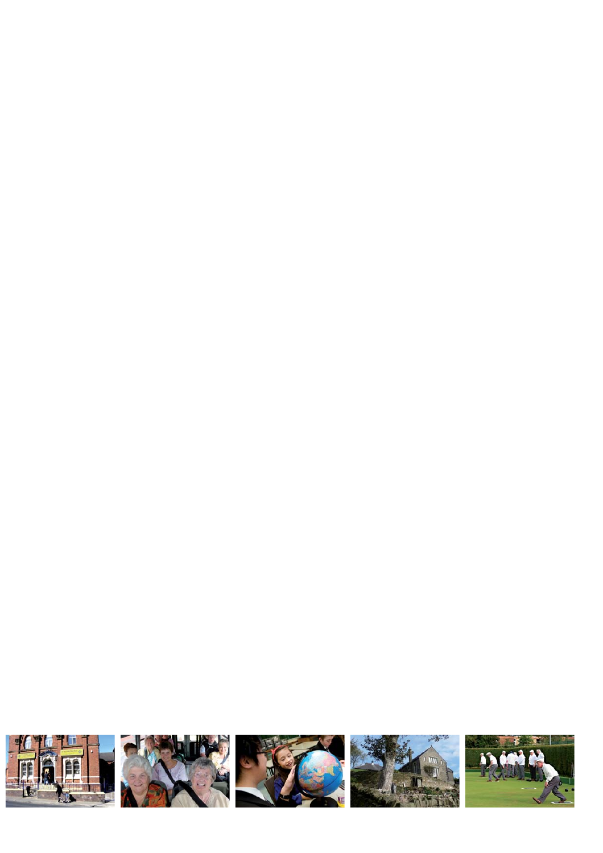